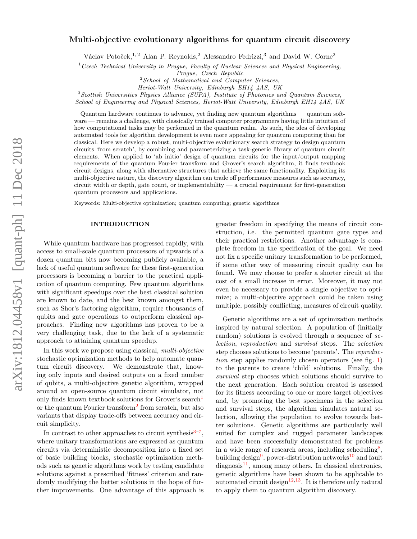# arXiv:1812.04458v1 [quant-ph] 11 Dec 2018 arXiv:1812.04458v1 [quant-ph] 11 Dec 2018

# Multi-objective evolutionary algorithms for quantum circuit discovery

Václav Potoček,<sup>1, 2</sup> Alan P. Reynolds,<sup>2</sup> Alessandro Fedrizzi,<sup>3</sup> and David W. Corne<sup>2</sup>

 $1$ <sup>1</sup>Czech Technical University in Prague, Faculty of Nuclear Sciences and Physical Engineering,

Prague, Czech Republic

 $2$  School of Mathematical and Computer Sciences,

Heriot-Watt University, Edinburgh EH14 4AS, UK

<sup>3</sup>Scottish Universities Physics Alliance (SUPA), Institute of Photonics and Quantum Sciences, School of Engineering and Physical Sciences, Heriot-Watt University, Edinburgh EH14 4AS, UK

Quantum hardware continues to advance, yet finding new quantum algorithms — quantum software — remains a challenge, with classically trained computer programmers having little intuition of how computational tasks may be performed in the quantum realm. As such, the idea of developing automated tools for algorithm development is even more appealing for quantum computing than for classical. Here we develop a robust, multi-objective evolutionary search strategy to design quantum circuits 'from scratch', by combining and parameterizing a task-generic library of quantum circuit elements. When applied to 'ab initio' design of quantum circuits for the input/output mapping requirements of the quantum Fourier transform and Grover's search algorithm, it finds textbook circuit designs, along with alternative structures that achieve the same functionality. Exploiting its multi-objective nature, the discovery algorithm can trade off performance measures such as accuracy, circuit width or depth, gate count, or implementability  $-$  a crucial requirement for first-generation quantum processors and applications.

Keywords: Multi-objective optimization; quantum computing; genetic algorithms

# INTRODUCTION

While quantum hardware has progressed rapidly, with access to small-scale quantum processors of upwards of a dozen quantum bits now becoming publicly available, a lack of useful quantum software for these first-generation processors is becoming a barrier to the practical application of quantum computing. Few quantum algorithms with significant speedups over the best classical solution are known to date, and the best known amongst them, such as Shor's factoring algorithm, require thousands of qubits and gate operations to outperform classical approaches. Finding new algorithms has proven to be a very challenging task, due to the lack of a systematic approach to attaining quantum speedup.

In this work we propose using classical, multi-objective stochastic optimization methods to help automate quantum circuit discovery. We demonstrate that, knowing only inputs and desired outputs on a fixed number of qubits, a multi-objective genetic algorithm, wrapped around an open-source quantum circuit simulator, not only finds known textbook solutions for Grover's search<sup>[1](#page-7-0)</sup> or the quantum Fourier transform<sup>[2](#page-8-0)</sup> from scratch, but also variants that display trade-offs between accuracy and circuit simplicity.

In contrast to other approaches to circuit synthesis $3-7$  $3-7$ , where unitary transformations are expressed as quantum circuits via deterministic decomposition into a fixed set of basic building blocks, stochastic optimization methods such as genetic algorithms work by testing candidate solutions against a prescribed 'fitness' criterion and randomly modifying the better solutions in the hope of further improvements. One advantage of this approach is

greater freedom in specifying the means of circuit construction, i.e. the permitted quantum gate types and their practical restrictions. Another advantage is complete freedom in the specification of the goal. We need not fix a specific unitary transformation to be performed, if some other way of measuring circuit quality can be found. We may choose to prefer a shorter circuit at the cost of a small increase in error. Moreover, it may not even be necessary to provide a single objective to optimize; a multi-objective approach could be taken using multiple, possibly conflicting, measures of circuit quality.

Genetic algorithms are a set of optimization methods inspired by natural selection. A population of (initially random) solutions is evolved through a sequence of selection, reproduction and survival steps. The selection step chooses solutions to become 'parents'. The reproduction step applies randomly chosen operators (see fig. [1\)](#page-1-0) to the parents to create 'child' solutions. Finally, the survival step chooses which solutions should survive to the next generation. Each solution created is assessed for its fitness according to one or more target objectives and, by promoting the best specimens in the selection and survival steps, the algorithm simulates natural selection, allowing the population to evolve towards better solutions. Genetic algorithms are particularly well suited for complex and rugged parameter landscapes and have been successfully demonstrated for problems in a wide range of research areas, including scheduling<sup>[8](#page-8-3)</sup>, building design<sup>[9](#page-8-4)</sup>, power-distribution networks<sup>[10](#page-8-5)</sup> and fault  $diagnostic<sup>11</sup>$  $diagnostic<sup>11</sup>$  $diagnostic<sup>11</sup>$ , among many others. In classical electronics, genetic algorithms have been shown to be applicable to automated circuit design<sup>[12](#page-8-7)[,13](#page-8-8)</sup>. It is therefore only natural to apply them to quantum algorithm discovery.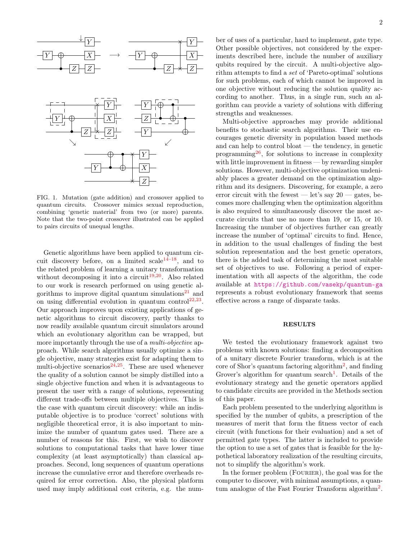

<span id="page-1-0"></span>FIG. 1. Mutation (gate addition) and crossover applied to quantum circuits. Crossover mimics sexual reproduction, combining 'genetic material' from two (or more) parents. Note that the two-point crossover illustrated can be applied to pairs circuits of unequal lengths.

Genetic algorithms have been applied to quantum circuit discovery before, on a limited scale  $14-18$  $14-18$ , and to the related problem of learning a unitary transformation without decomposing it into a circuit<sup>[19,](#page-8-11)[20](#page-8-12)</sup>. Also related to our work is research performed on using genetic al-gorithms to improve digital quantum simulations<sup>[21](#page-8-13)</sup> and on using differential evolution in quantum control<sup>[22,](#page-8-14)[23](#page-8-15)</sup>. Our approach improves upon existing applications of genetic algorithms to circuit discovery, partly thanks to now readily available quantum circuit simulators around which an evolutionary algorithm can be wrapped, but more importantly through the use of a *multi-objective* approach. While search algorithms usually optimize a single objective, many strategies exist for adapting them to multi-objective scenarios<sup>[24,](#page-8-16)[25](#page-8-17)</sup>. These are used whenever the quality of a solution cannot be simply distilled into a single objective function and when it is advantageous to present the user with a range of solutions, representing different trade-offs between multiple objectives. This is the case with quantum circuit discovery: while an indisputable objective is to produce 'correct' solutions with negligible theoretical error, it is also important to minimize the number of quantum gates used. There are a number of reasons for this. First, we wish to discover solutions to computational tasks that have lower time complexity (at least asymptotically) than classical approaches. Second, long sequences of quantum operations increase the cumulative error and therefore overheads required for error correction. Also, the physical platform used may imply additional cost criteria, e.g. the num-

ber of uses of a particular, hard to implement, gate type. Other possible objectives, not considered by the experiments described here, include the number of auxiliary qubits required by the circuit. A multi-objective algorithm attempts to find a set of 'Pareto-optimal' solutions for such problems, each of which cannot be improved in one objective without reducing the solution quality according to another. Thus, in a single run, such an algorithm can provide a variety of solutions with differing strengths and weaknesses.

Multi-objective approaches may provide additional benefits to stochastic search algorithms. Their use encourages genetic diversity in population based methods and can help to control bloat — the tendency, in genetic programming $^{26}$  $^{26}$  $^{26}$ , for solutions to increase in complexity with little improvement in fitness — by rewarding simpler solutions. However, multi-objective optimization undeniably places a greater demand on the optimization algorithm and its designers. Discovering, for example, a zero error circuit with the fewest — let's say  $20$  — gates, becomes more challenging when the optimization algorithm is also required to simultaneously discover the most accurate circuits that use no more than 19, or 15, or 10. Increasing the number of objectives further can greatly increase the number of 'optimal' circuits to find. Hence, in addition to the usual challenges of finding the best solution representation and the best genetic operators, there is the added task of determining the most suitable set of objectives to use. Following a period of experimentation with all aspects of the algorithm, the code available at <https://github.com/vasekp/quantum-ga> represents a robust evolutionary framework that seems effective across a range of disparate tasks.

# RESULTS

We tested the evolutionary framework against two problems with known solutions: finding a decomposition of a unitary discrete Fourier transform, which is at the core of Shor's quantum factoring algorithm<sup>[2](#page-8-0)</sup>, and finding Grover's algorithm for quantum search<sup>[1](#page-7-0)</sup>. Details of the evolutionary strategy and the genetic operators applied to candidate circuits are provided in the Methods section of this paper.

Each problem presented to the underlying algorithm is specified by the number of qubits, a prescription of the measures of merit that form the fitness vector of each circuit (with functions for their evaluation) and a set of permitted gate types. The latter is included to provide the option to use a set of gates that is feasible for the hypothetical laboratory realization of the resulting circuits, not to simplify the algorithm's work.

In the former problem (FOURIER), the goal was for the computer to discover, with minimal assumptions, a quan-tum analogue of the Fast Fourier Transform algorithm<sup>[2](#page-8-0)</sup>.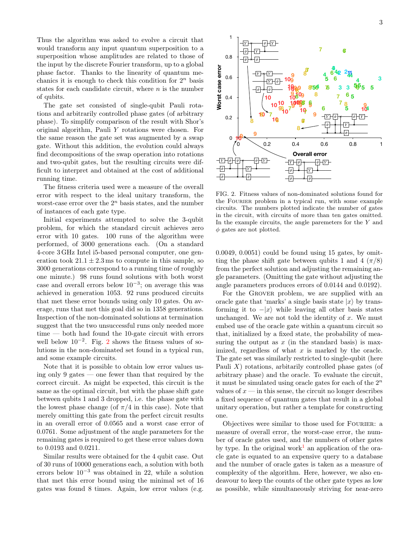Thus the algorithm was asked to evolve a circuit that would transform any input quantum superposition to a superposition whose amplitudes are related to those of the input by the discrete Fourier transform, up to a global phase factor. Thanks to the linearity of quantum mechanics it is enough to check this condition for  $2^n$  basis states for each candidate circuit, where  $n$  is the number of qubits.

The gate set consisted of single-qubit Pauli rotations and arbitrarily controlled phase gates (of arbitrary phase). To simplify comparison of the result with Shor's original algorithm, Pauli Y rotations were chosen. For the same reason the gate set was augmented by a swap gate. Without this addition, the evolution could always find decompositions of the swap operation into rotations and two-qubit gates, but the resulting circuits were difficult to interpret and obtained at the cost of additional running time.

The fitness criteria used were a measure of the overall error with respect to the ideal unitary transform, the worst-case error over the  $2<sup>n</sup>$  basis states, and the number of instances of each gate type.

Initial experiments attempted to solve the 3-qubit problem, for which the standard circuit achieves zero error with 10 gates. 100 runs of the algorithm were performed, of 3000 generations each. (On a standard 4-core 3 GHz Intel i5-based personal computer, one generation took  $21.1 \pm 2.3$  ms to compute in this sample, so 3000 generations correspond to a running time of roughly one minute.) 98 runs found solutions with both worst case and overall errors below  $10^{-3}$ ; on average this was achieved in generation 1053. 92 runs produced circuits that met these error bounds using only 10 gates. On average, runs that met this goal did so in 1358 generations. Inspection of the non-dominated solutions at termination suggest that the two unsuccessful runs only needed more time — both had found the 10-gate circuit with errors well below  $10^{-2}$  $10^{-2}$  $10^{-2}$ . Fig. 2 shows the fitness values of solutions in the non-dominated set found in a typical run, and some example circuits. are was found to the constrained of simulation in the constraints in the changing the state of the matter states for each candidate circuit, where a is the number cases of a consisted of single-qubit Pauli rotation of 2<sup>t</sup>

Note that it is possible to obtain low error values using only 9 gates — one fewer than that required by the correct circuit. As might be expected, this circuit is the same as the optimal circuit, but with the phase shift gate between qubits 1 and 3 dropped, i.e. the phase gate with the lowest phase change (of  $\pi/4$  in this case). Note that merely omitting this gate from the perfect circuit results in an overall error of 0.0565 and a worst case error of 0.0761. Some adjustment of the angle parameters for the remaining gates is required to get these error values down to 0.0193 and 0.0211.

Similar results were obtained for the 4 qubit case. Out of 30 runs of 10000 generations each, a solution with both errors below  $10^{-3}$  was obtained in 22, while a solution that met this error bound using the minimal set of 16



<span id="page-2-0"></span>FIG. 2. Fitness values of non-dominated solutions found for the FOURIER problem in a typical run, with some example circuits. The numbers plotted indicate the number of gates in the circuit, with circuits of more than ten gates omitted. In the example circuits, the angle paremeters for the Y and  $\phi$  gates are not plotted.

 $(0.0049, 0.0051)$  could be found using 15 gates, by omitting the phase shift gate between qubits 1 and 4  $(\pi/8)$ from the perfect solution and adjusting the remaining angle parameters. (Omitting the gate without adjusting the angle parameters produces errors of 0.0144 and 0.0192).

that, initialized by a fixed state, the probability of mea-For the GROVER problem, we are supplied with an oracle gate that 'marks' a single basis state  $|x\rangle$  by transforming it to  $-|x\rangle$  while leaving all other basis states unchanged. We are not told the identity of  $x$ . We must embed use of the oracle gate within a quantum circuit so suring the output as  $x$  (in the standard basis) is maximized, regardless of what  $x$  is marked by the oracle. The gate set was similarly restricted to single-qubit (here Pauli  $X$ ) rotations, arbitraily controlled phase gates (of arbitrary phase) and the oracle. To evaluate the circuit, it must be simulated using oracle gates for each of the  $2<sup>n</sup>$ values of  $x$  — in this sense, the circuit no longer describes a fixed sequence of quantum gates that result in a global unitary operation, but rather a template for constructing one.

Objectives were similar to those used for FOURIER: a measure of overall error, the worst-case error, the number of oracle gates used, and the numbers of other gates by type. In the original work<sup>[1](#page-7-0)</sup> an application of the oracle gate is equated to an expensive query to a database and the number of oracle gates is taken as a measure of complexity of the algorithm. Here, however, we also endeavour to keep the counts of the other gate types as low as possible, while simultaneously striving for near-zero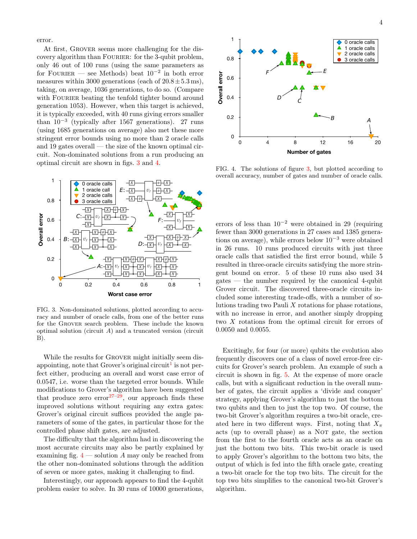error.

At first, Grover seems more challenging for the discovery algorithm than FOURIER: for the 3-qubit problem, only 46 out of 100 runs (using the same parameters as for FOURIER — see Methods) beat  $10^{-2}$  in both error measures within 3000 generations (each of  $20.8 \pm 5.3$  ms), taking, on average, 1036 generations, to do so. (Compare with FOURIER beating the tenfold tighter bound around generation 1053). However, when this target is achieved, it is typically exceeded, with 40 runs giving errors smaller than  $10^{-3}$  (typically after 1567 generations). 27 runs (using 1685 generations on average) also met these more stringent error bounds using no more than 2 oracle calls and 19 gates overall — the size of the known optimal circuit. Non-dominated solutions from a run producing an optimal circuit are shown in figs. [3](#page-3-0) and [4.](#page-3-1)



<span id="page-3-0"></span>FIG. 3. Non-dominated solutions, plotted according to accuracy and number of oracle calls, from one of the better runs for the Grover search problem. These include the known optimal solution (circuit A) and a truncated version (circuit B).

While the results for GROVER might initially seem dis-appointing, note that Grover's original circuit<sup>[1](#page-7-0)</sup> is not perfect either, producing an overall and worst case error of 0.0547, i.e. worse than the targeted error bounds. While modifications to Grover's algorithm have been suggested that produce zero error $27-29$  $27-29$ , our approach finds these improved solutions without requiring any extra gates: Grover's original circuit suffices provided the angle parameters of some of the gates, in particular those for the controlled phase shift gates, are adjusted.

The difficulty that the algorithm had in discovering the most accurate circuits may also be partly explained by examining fig.  $4$  — solution A may only be reached from the other non-dominated solutions through the addition of seven or more gates, making it challenging to find.

Interestingly, our approach appears to find the 4-qubit problem easier to solve. In 30 runs of 10000 generations,



<span id="page-3-1"></span>FIG. 4. The solutions of figure [3,](#page-3-0) but plotted according to overall accuracy, number of gates and number of oracle calls.

errors of less than  $10^{-2}$  were obtained in 29 (requiring fewer than 3000 generations in 27 cases and 1385 generations on average), while errors below 10<sup>−</sup><sup>3</sup> were obtained in 26 runs. 10 runs produced circuits with just three oracle calls that satisfied the first error bound, while 5 resulted in three-oracle circuits satisfying the more stringent bound on error. 5 of these 10 runs also used 34 gates — the number required by the canonical 4-qubit Grover circuit. The discovered three-oracle circuits included some interesting trade-offs, with a number of solutions trading two Pauli X rotations for phase rotations, with no increase in error, and another simply dropping two X rotations from the optimal circuit for errors of 0.0050 and 0.0055.

Excitingly, for four (or more) qubits the evolution also frequently discovers one of a class of novel error-free circuits for Grover's search problem. An example of such a circuit is shown in fig. [5.](#page-4-0) At the expense of more oracle calls, but with a significant reduction in the overall number of gates, the circuit applies a 'divide and conquer' strategy, applying Grover's algorithm to just the bottom two qubits and then to just the top two. Of course, the two-bit Grover's algorithm requires a two-bit oracle, created here in two different ways. First, noting that  $X_\pi$ acts (up to overall phase) as a NOT gate, the section from the first to the fourth oracle acts as an oracle on just the bottom two bits. This two-bit oracle is used to apply Grover's algorithm to the bottom two bits, the output of which is fed into the fifth oracle gate, creating a two-bit oracle for the top two bits. The circuit for the top two bits simplifies to the canonical two-bit Grover's algorithm.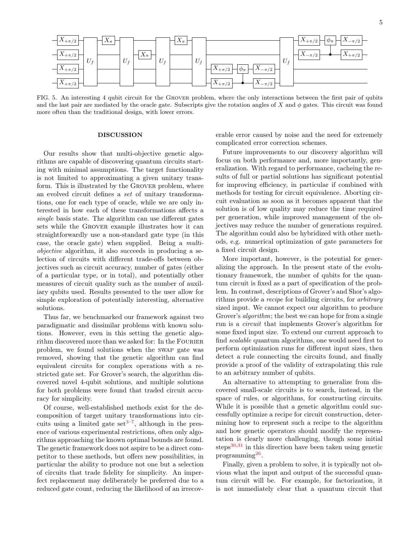

<span id="page-4-0"></span>FIG. 5. An interesting 4 qubit circuit for the Grover problem, where the only interactions between the first pair of qubits and the last pair are mediated by the oracle gate. Subscripts give the rotation angles of X and  $\phi$  gates. This circuit was found more often than the traditional design, with lower errors.

# DISCUSSION

Our results show that multi-objective genetic algorithms are capable of discovering quantum circuits starting with minimal assumptions. The target functionality is not limited to approximating a given unitary transform. This is illustrated by the Grover problem, where an evolved circuit defines a set of unitary transformations, one for each type of oracle, while we are only interested in how each of these transformations affects a single basis state. The algorithm can use different gates sets while the Grover example illustrates how it can straightforwardly use a non-standard gate type (in this case, the oracle gate) when supplied. Being a multiobjective algorithm, it also succeeds in producing a selection of circuits with different trade-offs between objectives such as circuit accuracy, number of gates (either of a particular type, or in total), and potentially other measures of circuit quality such as the number of auxiliary qubits used. Results presented to the user allow for simple exploration of potentially interesting, alternative solutions.

Thus far, we benchmarked our framework against two paradigmatic and dissimilar problems with known solutions. However, even in this setting the genetic algorithm discovered more than we asked for: In the FOURIER problem, we found solutions when the swap gate was removed, showing that the genetic algorithm can find equivalent circuits for complex operations with a restricted gate set. For Grover's search, the algorithm discovered novel 4-qubit solutions, and multiple solutions for both problems were found that traded circuit accuracy for simplicity.

Of course, well-established methods exist for the decomposition of target unitary transformations into circuits using a limited gate set<sup> $3-7$  $3-7$ </sup>, although in the presence of various experimental restrictions, often only algorithms approaching the known optimal bounds are found. The genetic framework does not aspire to be a direct competitor to these methods, but offers new possibilities, in particular the ability to produce not one but a selection of circuits that trade fidelity for simplicity. An imperfect replacement may deliberately be preferred due to a reduced gate count, reducing the likelihood of an irrecov-

erable error caused by noise and the need for extremely complicated error correction schemes.

Future improvements to our discovery algorithm will focus on both performance and, more importantly, generalization. With regard to performance, cacheing the results of full or partial solutions has significant potential for improving efficiency, in particular if combined with methods for testing for circuit equivalence. Aborting circuit evaluation as soon as it becomes apparent that the solution is of low quality may reduce the time required per generation, while improved management of the objectives may reduce the number of generations required. The algorithm could also be hybridized with other methods, e.g. numerical optimization of gate parameters for a fixed circuit design.

More important, however, is the potential for generalizing the approach. In the present state of the evolutionary framework, the number of qubits for the quantum circuit is fixed as a part of specification of the problem. In contrast, descriptions of Grover's and Shor's algorithms provide a recipe for building circuits, for arbitrary sized input. We cannot expect our algorithm to produce Grover's *algorithm*; the best we can hope for from a single run is a circuit that implements Grover's algorithm for some fixed input size. To extend our current approach to find scalable quantum algorithms, one would need first to perform optimization runs for different input sizes, then detect a rule connecting the circuits found, and finally provide a proof of the validity of extrapolating this rule to an arbitrary number of qubits.

An alternative to attempting to generalize from discovered small-scale circuits is to search, instead, in the space of rules, or algorithms, for constructing circuits. While it is possible that a genetic algorithm could successfully optimize a recipe for circuit construction, determining how to represent such a recipe to the algorithm and how genetic operators should modify the representation is clearly more challenging, though some initial steps $30,31$  $30,31$  in this direction have been taken using genetic programming<sup>[26](#page-8-18)</sup>.

Finally, given a problem to solve, it is typically not obvious what the input and output of the successful quantum circuit will be. For example, for factorization, it is not immediately clear that a quantum circuit that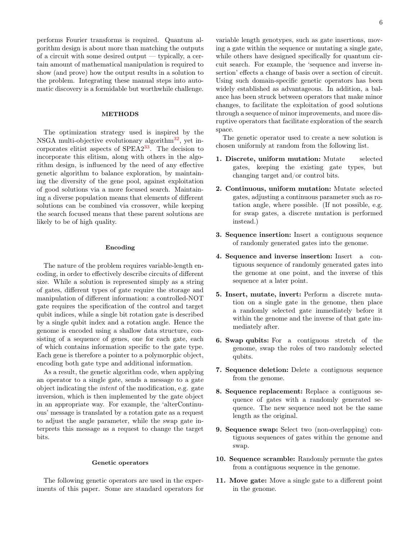performs Fourier transforms is required. Quantum algorithm design is about more than matching the outputs of a circuit with some desired output — typically, a certain amount of mathematical manipulation is required to show (and prove) how the output results in a solution to the problem. Integrating these manual steps into automatic discovery is a formidable but worthwhile challenge.

# METHODS

The optimization strategy used is inspired by the NSGA multi-objective evolutionary algorithm $32$ , yet incorporates elitist aspects of  $SPEA2^{33}$  $SPEA2^{33}$  $SPEA2^{33}$ . The decision to incorporate this elitism, along with others in the algorithm design, is influenced by the need of any effective genetic algorithm to balance exploration, by maintaining the diversity of the gene pool, against exploitation of good solutions via a more focused search. Maintaining a diverse population means that elements of different solutions can be combined via crossover, while keeping the search focused means that these parent solutions are likely to be of high quality.

### Encoding

The nature of the problem requires variable-length encoding, in order to effectively describe circuits of different size. While a solution is represented simply as a string of gates, different types of gate require the storage and manipulation of different information: a controlled-NOT gate requires the specification of the control and target qubit indices, while a single bit rotation gate is described by a single qubit index and a rotation angle. Hence the genome is encoded using a shallow data structure, consisting of a sequence of genes, one for each gate, each of which contains information specific to the gate type. Each gene is therefore a pointer to a polymorphic object, encoding both gate type and additional information.

As a result, the genetic algorithm code, when applying an operator to a single gate, sends a message to a gate object indicating the intent of the modification, e.g. gate inversion, which is then implemented by the gate object in an appropriate way. For example, the 'alterContinuous' message is translated by a rotation gate as a request to adjust the angle parameter, while the swap gate interprets this message as a request to change the target bits.

### Genetic operators

The following genetic operators are used in the experiments of this paper. Some are standard operators for

variable length genotypes, such as gate insertions, moving a gate within the sequence or mutating a single gate, while others have designed specifically for quantum circuit search. For example, the 'sequence and inverse insertion' effects a change of basis over a section of circuit. Using such domain-specific genetic operators has been widely established as advantageous. In addition, a balance has been struck between operators that make minor changes, to facilitate the exploitation of good solutions through a sequence of minor improvements, and more disruptive operators that facilitate exploration of the search space.

The genetic operator used to create a new solution is chosen uniformly at random from the following list.

- 1. Discrete, uniform mutation: Mutate selected gates, keeping the existing gate types, but changing target and/or control bits.
- 2. Continuous, uniform mutation: Mutate selected gates, adjusting a continuous parameter such as rotation angle, where possible. (If not possible, e.g. for swap gates, a discrete mutation is performed instead.)
- 3. Sequence insertion: Insert a contiguous sequence of randomly generated gates into the genome.
- 4. Sequence and inverse insertion: Insert a contiguous sequence of randomly generated gates into the genome at one point, and the inverse of this sequence at a later point.
- 5. Insert, mutate, invert: Perform a discrete mutation on a single gate in the genome, then place a randomly selected gate immediately before it within the genome and the inverse of that gate immediately after.
- 6. Swap qubits: For a contiguous stretch of the genome, swap the roles of two randomly selected qubits.
- 7. Sequence deletion: Delete a contiguous sequence from the genome.
- 8. Sequence replacement: Replace a contiguous sequence of gates with a randomly generated sequence. The new sequence need not be the same length as the original.
- 9. Sequence swap: Select two (non-overlapping) contiguous sequences of gates within the genome and swap.
- 10. Sequence scramble: Randomly permute the gates from a contiguous sequence in the genome.
- 11. Move gate: Move a single gate to a different point in the genome.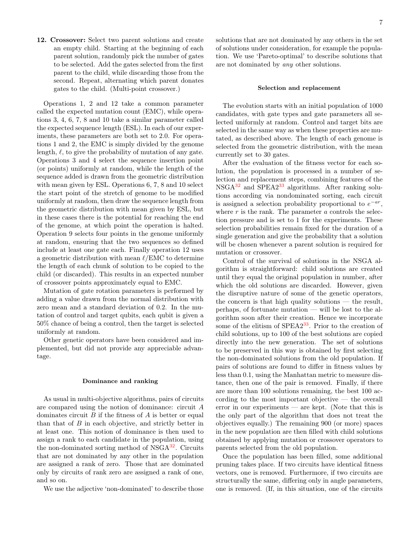12. Crossover: Select two parent solutions and create an empty child. Starting at the beginning of each parent solution, randomly pick the number of gates to be selected. Add the gates selected from the first parent to the child, while discarding those from the second. Repeat, alternating which parent donates gates to the child. (Multi-point crossover.)

Operations 1, 2 and 12 take a common parameter called the expected mutation count (EMC), while operations 3, 4, 6, 7, 8 and 10 take a similar parameter called the expected sequence length (ESL). In each of our experiments, these parameters are both set to 2.0. For operations 1 and 2, the EMC is simply divided by the genome length,  $\ell$ , to give the probability of mutation of any gate. Operations 3 and 4 select the sequence insertion point (or points) uniformly at random, while the length of the sequence added is drawn from the geometric distribution with mean given by ESL. Operations 6, 7, 8 and 10 select the start point of the stretch of genome to be modified uniformly at random, then draw the sequence length from the geometric distribution with mean given by ESL, but in these cases there is the potential for reaching the end of the genome, at which point the operation is halted. Operation 9 selects four points in the genome uniformly at random, ensuring that the two sequences so defined include at least one gate each. Finally operation 12 uses a geometric distribution with mean  $\ell$ /EMC to determine the length of each chunk of solution to be copied to the child (or discarded). This results in an expected number of crossover points approximately equal to EMC.

Mutation of gate rotation parameters is performed by adding a value drawn from the normal distribution with zero mean and a standard deviation of 0.2. In the mutation of control and target qubits, each qubit is given a 50% chance of being a control, then the target is selected uniformly at random.

Other genetic operators have been considered and implemented, but did not provide any appreciable advantage.

### Dominance and ranking

As usual in multi-objective algorithms, pairs of circuits are compared using the notion of dominance: circuit A dominates circuit  $B$  if the fitness of  $A$  is better or equal than that of B in each objective, and strictly better in at least one. This notion of dominance is then used to assign a rank to each candidate in the population, using the non-dominated sorting method of NSGA<sup>[32](#page-8-23)</sup>. Circuits that are not dominated by any other in the population are assigned a rank of zero. Those that are dominated only by circuits of rank zero are assigned a rank of one, and so on.

We use the adjective 'non-dominated' to describe those

solutions that are not dominated by any others in the set of solutions under consideration, for example the population. We use 'Pareto-optimal' to describe solutions that are not dominated by any other solutions.

### Selection and replacement

The evolution starts with an initial population of 1000 candidates, with gate types and gate parameters all selected uniformly at random. Control and target bits are selected in the same way as when these properties are mutated, as described above. The length of each genome is selected from the geometric distribution, with the mean currently set to 30 gates.

After the evaluation of the fitness vector for each solution, the population is processed in a number of selection and replacement steps, combining features of the  $NSGA<sup>32</sup>$  $NSGA<sup>32</sup>$  $NSGA<sup>32</sup>$  and  $SPEA2<sup>33</sup>$  $SPEA2<sup>33</sup>$  $SPEA2<sup>33</sup>$  algorithms. After ranking solutions according via nondominated sorting, each circuit is assigned a selection probability proportional to  $e^{-ar}$ , where r is the rank. The parameter a controls the selection pressure and is set to 1 for the experiments. These selection probabilities remain fixed for the duration of a single generation and give the probability that a solution will be chosen whenever a parent solution is required for mutation or crossover.

Control of the survival of solutions in the NSGA algorithm is straightforward: child solutions are created until they equal the original population in number, after which the old solutions are discarded. However, given the disruptive nature of some of the genetic operators, the concern is that high quality solutions — the result, perhaps, of fortunate mutation — will be lost to the algorithm soon after their creation. Hence we incorporate some of the elitism of  $SPEA2^{33}$  $SPEA2^{33}$  $SPEA2^{33}$ . Prior to the creation of child solutions, up to 100 of the best solutions are copied directly into the new generation. The set of solutions to be preserved in this way is obtained by first selecting the non-dominated solutions from the old population. If pairs of solutions are found to differ in fitness values by less than 0.1, using the Manhattan metric to measure distance, then one of the pair is removed. Finally, if there are more than 100 solutions remaining, the best 100 according to the most important objective — the overall error in our experiments — are kept. (Note that this is the only part of the algorithm that does not treat the objectives equally.) The remaining 900 (or more) spaces in the new population are then filled with child solutions obtained by applying mutation or crossover operators to parents selected from the old population.

Once the population has been filled, some additional pruning takes place. If two circuits have identical fitness vectors, one is removed. Furthermore, if two circuits are structurally the same, differing only in angle parameters, one is removed. (If, in this situation, one of the circuits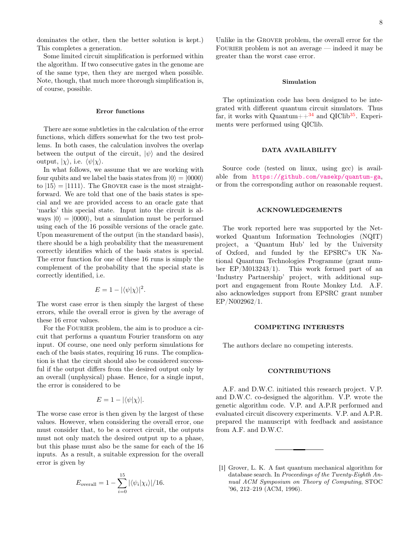dominates the other, then the better solution is kept.) This completes a generation.

Some limited circuit simplification is performed within the algorithm. If two consecutive gates in the genome are of the same type, then they are merged when possible. Note, though, that much more thorough simplification is, of course, possible.

# Error functions

There are some subtleties in the calculation of the error functions, which differs somewhat for the two test problems. In both cases, the calculation involves the overlap between the output of the circuit,  $|\psi\rangle$  and the desired output,  $|\chi\rangle$ , i.e.  $\langle \psi | \chi \rangle$ .

In what follows, we assume that we are working with four qubits and we label the basis states from  $|0\rangle = |0000\rangle$ to  $|15\rangle = |1111\rangle$ . The GROVER case is the most straightforward. We are told that one of the basis states is special and we are provided access to an oracle gate that 'marks' this special state. Input into the circuit is always  $|0\rangle = |0000\rangle$ , but a simulation must be performed using each of the 16 possible versions of the oracle gate. Upon measurement of the output (in the standard basis), there should be a high probability that the measurement correctly identifies which of the basis states is special. The error function for one of these 16 runs is simply the complement of the probability that the special state is correctly identified, i.e.

$$
E = 1 - |\langle \psi | \chi \rangle|^2.
$$

The worst case error is then simply the largest of these errors, while the overall error is given by the average of these 16 error values.

For the FOURIER problem, the aim is to produce a circuit that performs a quantum Fourier transform on any input. Of course, one need only perform simulations for each of the basis states, requiring 16 runs. The complication is that the circuit should also be considered successful if the output differs from the desired output only by an overall (unphysical) phase. Hence, for a single input, the error is considered to be

$$
E=1-|\langle\psi|\chi\rangle|.
$$

The worse case error is then given by the largest of these values. However, when considering the overall error, one must consider that, to be a correct circuit, the outputs must not only match the desired output up to a phase, but this phase must also be the same for each of the 16 inputs. As a result, a suitable expression for the overall error is given by

$$
E_{\text{overall}} = 1 - \sum_{i=0}^{15} |\langle \psi_i | \chi_i \rangle| / 16.
$$

Unlike in the Grover problem, the overall error for the FOURIER problem is not an average  $-$  indeed it may be greater than the worst case error.

### Simulation

The optimization code has been designed to be integrated with different quantum circuit simulators. Thus far, it works with Quantum+ $+$ <sup>[34](#page-8-25)</sup> and QIClib<sup>[35](#page-8-26)</sup>. Experiments were performed using QIClib.

# DATA AVAILABILITY

Source code (tested on linux, using gcc) is available from <https://github.com/vasekp/quantum-ga>, or from the corresponding author on reasonable request.

## ACKNOWLEDGEMENTS

The work reported here was supported by the Networked Quantum Information Technologies (NQIT) project, a 'Quantum Hub' led by the University of Oxford, and funded by the EPSRC's UK National Quantum Technologies Programme (grant number EP/M013243/1). This work formed part of an 'Industry Partnership' project, with additional support and engagement from Route Monkey Ltd. A.F. also acknowledges support from EPSRC grant number EP/N002962/1.

### COMPETING INTERESTS

The authors declare no competing interests.

### CONTRIBUTIONS

A.F. and D.W.C. initiated this research project. V.P. and D.W.C. co-designed the algorithm. V.P. wrote the genetic algorithm code. V.P. and A.P.R performed and evaluated circuit discovery experiments. V.P. and A.P.R. prepared the manuscript with feedback and assistance from A.F. and D.W.C.

<span id="page-7-0"></span><sup>[1]</sup> Grover, L. K. A fast quantum mechanical algorithm for database search. In Proceedings of the Twenty-Eighth Annual ACM Symposium on Theory of Computing, STOC '96, 212–219 (ACM, 1996).